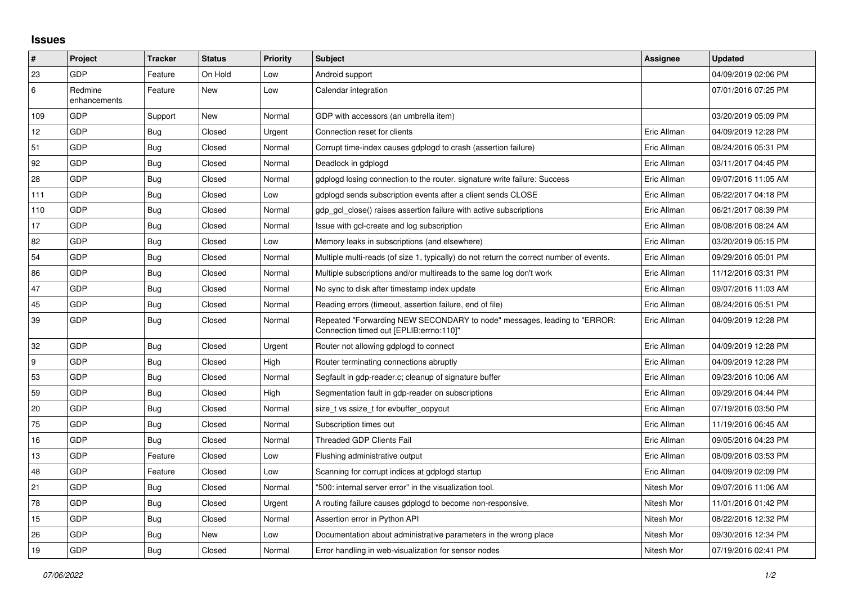## **Issues**

| $\vert$ #        | Project                 | <b>Tracker</b> | <b>Status</b> | <b>Priority</b> | <b>Subject</b>                                                                                                      | Assignee    | <b>Updated</b>      |
|------------------|-------------------------|----------------|---------------|-----------------|---------------------------------------------------------------------------------------------------------------------|-------------|---------------------|
| 23               | <b>GDP</b>              | Feature        | On Hold       | Low             | Android support                                                                                                     |             | 04/09/2019 02:06 PM |
| 6                | Redmine<br>enhancements | Feature        | <b>New</b>    | Low             | Calendar integration                                                                                                |             | 07/01/2016 07:25 PM |
| 109              | GDP                     | Support        | New           | Normal          | GDP with accessors (an umbrella item)                                                                               |             | 03/20/2019 05:09 PM |
| 12               | GDP                     | Bug            | Closed        | Urgent          | Connection reset for clients                                                                                        | Eric Allman | 04/09/2019 12:28 PM |
| 51               | <b>GDP</b>              | <b>Bug</b>     | Closed        | Normal          | Corrupt time-index causes gdplogd to crash (assertion failure)                                                      | Eric Allman | 08/24/2016 05:31 PM |
| 92               | GDP                     | Bug            | Closed        | Normal          | Deadlock in gdplogd                                                                                                 | Eric Allman | 03/11/2017 04:45 PM |
| 28               | GDP                     | Bug            | Closed        | Normal          | gdplogd losing connection to the router, signature write failure: Success                                           | Eric Allman | 09/07/2016 11:05 AM |
| 111              | <b>GDP</b>              | <b>Bug</b>     | Closed        | Low             | adpload sends subscription events after a client sends CLOSE                                                        | Eric Allman | 06/22/2017 04:18 PM |
| 110              | GDP                     | Bug            | Closed        | Normal          | gdp gcl close() raises assertion failure with active subscriptions                                                  | Eric Allman | 06/21/2017 08:39 PM |
| 17               | GDP                     | <b>Bug</b>     | Closed        | Normal          | Issue with gcl-create and log subscription                                                                          | Eric Allman | 08/08/2016 08:24 AM |
| 82               | GDP                     | Bug            | Closed        | Low             | Memory leaks in subscriptions (and elsewhere)                                                                       | Eric Allman | 03/20/2019 05:15 PM |
| 54               | GDP                     | <b>Bug</b>     | Closed        | Normal          | Multiple multi-reads (of size 1, typically) do not return the correct number of events.                             | Eric Allman | 09/29/2016 05:01 PM |
| 86               | GDP                     | <b>Bug</b>     | Closed        | Normal          | Multiple subscriptions and/or multireads to the same log don't work                                                 | Eric Allman | 11/12/2016 03:31 PM |
| 47               | GDP                     | Bug            | Closed        | Normal          | No sync to disk after timestamp index update                                                                        | Eric Allman | 09/07/2016 11:03 AM |
| 45               | <b>GDP</b>              | Bug            | Closed        | Normal          | Reading errors (timeout, assertion failure, end of file)                                                            | Eric Allman | 08/24/2016 05:51 PM |
| 39               | GDP                     | <b>Bug</b>     | Closed        | Normal          | Repeated "Forwarding NEW SECONDARY to node" messages, leading to "ERROR:<br>Connection timed out [EPLIB:errno:110]" | Eric Allman | 04/09/2019 12:28 PM |
| 32               | GDP                     | Bug            | Closed        | Urgent          | Router not allowing gdplogd to connect                                                                              | Eric Allman | 04/09/2019 12:28 PM |
| $\boldsymbol{9}$ | GDP                     | Bug            | Closed        | High            | Router terminating connections abruptly                                                                             | Eric Allman | 04/09/2019 12:28 PM |
| 53               | <b>GDP</b>              | <b>Bug</b>     | Closed        | Normal          | Segfault in gdp-reader.c; cleanup of signature buffer                                                               | Eric Allman | 09/23/2016 10:06 AM |
| 59               | GDP                     | <b>Bug</b>     | Closed        | High            | Segmentation fault in gdp-reader on subscriptions                                                                   | Eric Allman | 09/29/2016 04:44 PM |
| 20               | GDP                     | Bug            | Closed        | Normal          | size_t vs ssize_t for evbuffer_copyout                                                                              | Eric Allman | 07/19/2016 03:50 PM |
| 75               | GDP                     | <b>Bug</b>     | Closed        | Normal          | Subscription times out                                                                                              | Eric Allman | 11/19/2016 06:45 AM |
| 16               | GDP                     | <b>Bug</b>     | Closed        | Normal          | <b>Threaded GDP Clients Fail</b>                                                                                    | Eric Allman | 09/05/2016 04:23 PM |
| 13               | GDP                     | Feature        | Closed        | Low             | Flushing administrative output                                                                                      | Eric Allman | 08/09/2016 03:53 PM |
| 48               | <b>GDP</b>              | Feature        | Closed        | Low             | Scanning for corrupt indices at gdplogd startup                                                                     | Eric Allman | 04/09/2019 02:09 PM |
| 21               | GDP                     | Bug            | Closed        | Normal          | "500: internal server error" in the visualization tool.                                                             | Nitesh Mor  | 09/07/2016 11:06 AM |
| 78               | GDP                     | <b>Bug</b>     | Closed        | Urgent          | A routing failure causes gdplogd to become non-responsive.                                                          | Nitesh Mor  | 11/01/2016 01:42 PM |
| 15               | GDP                     | Bug            | Closed        | Normal          | Assertion error in Python API                                                                                       | Nitesh Mor  | 08/22/2016 12:32 PM |
| 26               | GDP                     | <b>Bug</b>     | New           | Low             | Documentation about administrative parameters in the wrong place                                                    | Nitesh Mor  | 09/30/2016 12:34 PM |
| 19               | <b>GDP</b>              | Bug            | Closed        | Normal          | Error handling in web-visualization for sensor nodes                                                                | Nitesh Mor  | 07/19/2016 02:41 PM |